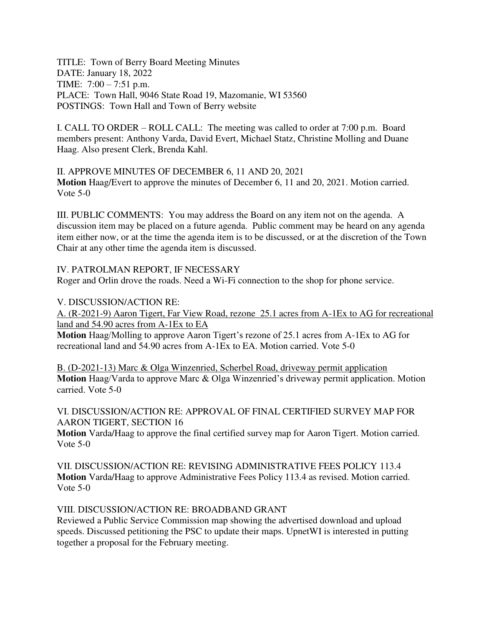TITLE: Town of Berry Board Meeting Minutes DATE: January 18, 2022 TIME: 7:00 – 7:51 p.m. PLACE: Town Hall, 9046 State Road 19, Mazomanie, WI 53560 POSTINGS: Town Hall and Town of Berry website

I. CALL TO ORDER – ROLL CALL: The meeting was called to order at 7:00 p.m. Board members present: Anthony Varda, David Evert, Michael Statz, Christine Molling and Duane Haag. Also present Clerk, Brenda Kahl.

II. APPROVE MINUTES OF DECEMBER 6, 11 AND 20, 2021 **Motion** Haag/Evert to approve the minutes of December 6, 11 and 20, 2021. Motion carried. Vote 5-0

III. PUBLIC COMMENTS: You may address the Board on any item not on the agenda. A discussion item may be placed on a future agenda. Public comment may be heard on any agenda item either now, or at the time the agenda item is to be discussed, or at the discretion of the Town Chair at any other time the agenda item is discussed.

IV. PATROLMAN REPORT, IF NECESSARY

Roger and Orlin drove the roads. Need a Wi-Fi connection to the shop for phone service.

V. DISCUSSION/ACTION RE:

A. (R-2021-9) Aaron Tigert, Far View Road, rezone 25.1 acres from A-1Ex to AG for recreational land and 54.90 acres from A-1Ex to EA

**Motion** Haag/Molling to approve Aaron Tigert's rezone of 25.1 acres from A-1Ex to AG for recreational land and 54.90 acres from A-1Ex to EA. Motion carried. Vote 5-0

B. (D-2021-13) Marc & Olga Winzenried, Scherbel Road, driveway permit application **Motion** Haag/Varda to approve Marc & Olga Winzenried's driveway permit application. Motion carried. Vote 5-0

VI. DISCUSSION/ACTION RE: APPROVAL OF FINAL CERTIFIED SURVEY MAP FOR AARON TIGERT, SECTION 16

**Motion** Varda/Haag to approve the final certified survey map for Aaron Tigert. Motion carried. Vote 5-0

VII. DISCUSSION/ACTION RE: REVISING ADMINISTRATIVE FEES POLICY 113.4 **Motion** Varda/Haag to approve Administrative Fees Policy 113.4 as revised. Motion carried. Vote 5-0

VIII. DISCUSSION/ACTION RE: BROADBAND GRANT

Reviewed a Public Service Commission map showing the advertised download and upload speeds. Discussed petitioning the PSC to update their maps. UpnetWI is interested in putting together a proposal for the February meeting.